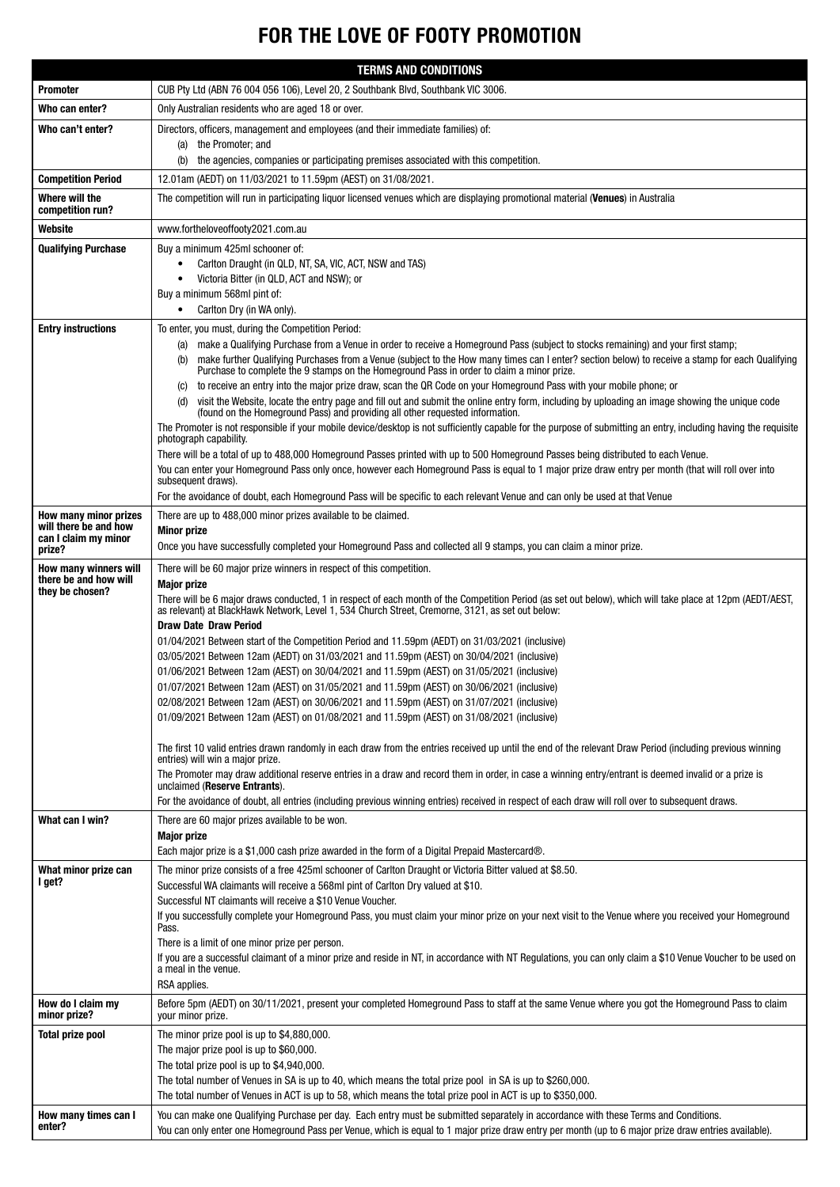# FOR THE LOVE OF FOOTY PROMOTION

| <b>TERMS AND CONDITIONS</b>                             |                                                                                                                                                                                                                                                                                                                                                                                                                                                                                                                                                                                                                                                                                                               |  |
|---------------------------------------------------------|---------------------------------------------------------------------------------------------------------------------------------------------------------------------------------------------------------------------------------------------------------------------------------------------------------------------------------------------------------------------------------------------------------------------------------------------------------------------------------------------------------------------------------------------------------------------------------------------------------------------------------------------------------------------------------------------------------------|--|
| <b>Promoter</b>                                         | CUB Pty Ltd (ABN 76 004 056 106), Level 20, 2 Southbank Blvd, Southbank VIC 3006.                                                                                                                                                                                                                                                                                                                                                                                                                                                                                                                                                                                                                             |  |
| Who can enter?                                          | Only Australian residents who are aged 18 or over.                                                                                                                                                                                                                                                                                                                                                                                                                                                                                                                                                                                                                                                            |  |
| Who can't enter?                                        | Directors, officers, management and employees (and their immediate families) of:                                                                                                                                                                                                                                                                                                                                                                                                                                                                                                                                                                                                                              |  |
|                                                         | (a) the Promoter; and                                                                                                                                                                                                                                                                                                                                                                                                                                                                                                                                                                                                                                                                                         |  |
|                                                         | the agencies, companies or participating premises associated with this competition.<br>(b)                                                                                                                                                                                                                                                                                                                                                                                                                                                                                                                                                                                                                    |  |
| <b>Competition Period</b><br>Where will the             | 12.01am (AEDT) on 11/03/2021 to 11.59pm (AEST) on 31/08/2021.<br>The competition will run in participating liquor licensed venues which are displaying promotional material (Venues) in Australia                                                                                                                                                                                                                                                                                                                                                                                                                                                                                                             |  |
| competition run?                                        |                                                                                                                                                                                                                                                                                                                                                                                                                                                                                                                                                                                                                                                                                                               |  |
| Website                                                 | www.fortheloveoffooty2021.com.au                                                                                                                                                                                                                                                                                                                                                                                                                                                                                                                                                                                                                                                                              |  |
| <b>Qualifying Purchase</b>                              | Buy a minimum 425ml schooner of:<br>Carlton Draught (in QLD, NT, SA, VIC, ACT, NSW and TAS)<br>Victoria Bitter (in QLD, ACT and NSW); or<br>Buy a minimum 568ml pint of:                                                                                                                                                                                                                                                                                                                                                                                                                                                                                                                                      |  |
|                                                         | Carlton Dry (in WA only).<br>$\bullet$                                                                                                                                                                                                                                                                                                                                                                                                                                                                                                                                                                                                                                                                        |  |
| <b>Entry instructions</b>                               | To enter, you must, during the Competition Period:                                                                                                                                                                                                                                                                                                                                                                                                                                                                                                                                                                                                                                                            |  |
|                                                         | make a Qualifying Purchase from a Venue in order to receive a Homeground Pass (subject to stocks remaining) and your first stamp;<br>(a)<br>make further Qualifying Purchases from a Venue (subject to the How many times can I enter? section below) to receive a stamp for each Qualifying<br>(b)<br>Purchase to complete the 9 stamps on the Homeground Pass in order to claim a minor prize.<br>to receive an entry into the major prize draw, scan the QR Code on your Homeground Pass with your mobile phone; or<br>(C)                                                                                                                                                                                 |  |
|                                                         | visit the Website, locate the entry page and fill out and submit the online entry form, including by uploading an image showing the unique code<br>(d)<br>(found on the Homeground Pass) and providing all other requested information.<br>The Promoter is not responsible if your mobile device/desktop is not sufficiently capable for the purpose of submitting an entry, including having the requisite                                                                                                                                                                                                                                                                                                   |  |
|                                                         | photograph capability.                                                                                                                                                                                                                                                                                                                                                                                                                                                                                                                                                                                                                                                                                        |  |
|                                                         | There will be a total of up to 488,000 Homeground Passes printed with up to 500 Homeground Passes being distributed to each Venue.<br>You can enter your Homeground Pass only once, however each Homeground Pass is equal to 1 major prize draw entry per month (that will roll over into<br>subsequent draws).                                                                                                                                                                                                                                                                                                                                                                                               |  |
| <b>How many minor prizes</b>                            | For the avoidance of doubt, each Homeground Pass will be specific to each relevant Venue and can only be used at that Venue<br>There are up to 488,000 minor prizes available to be claimed.                                                                                                                                                                                                                                                                                                                                                                                                                                                                                                                  |  |
| will there be and how<br>can I claim my minor<br>prize? | <b>Minor prize</b><br>Once you have successfully completed your Homeground Pass and collected all 9 stamps, you can claim a minor prize.                                                                                                                                                                                                                                                                                                                                                                                                                                                                                                                                                                      |  |
| How many winners will                                   | There will be 60 major prize winners in respect of this competition.                                                                                                                                                                                                                                                                                                                                                                                                                                                                                                                                                                                                                                          |  |
| there be and how will<br>they be chosen?                | <b>Major prize</b><br>There will be 6 major draws conducted, 1 in respect of each month of the Competition Period (as set out below), which will take place at 12pm (AEDT/AEST,<br>as relevant) at BlackHawk Network, Level 1, 534 Church Street, Cremorne, 3121, as set out below:<br><b>Draw Date Draw Period</b><br>01/04/2021 Between start of the Competition Period and 11.59pm (AEDT) on 31/03/2021 (inclusive)<br>03/05/2021 Between 12am (AEDT) on 31/03/2021 and 11.59pm (AEST) on 30/04/2021 (inclusive)<br>01/06/2021 Between 12am (AEST) on 30/04/2021 and 11.59pm (AEST) on 31/05/2021 (inclusive)<br>01/07/2021 Between 12am (AEST) on 31/05/2021 and 11.59pm (AEST) on 30/06/2021 (inclusive) |  |
|                                                         | 02/08/2021 Between 12am (AEST) on 30/06/2021 and 11.59pm (AEST) on 31/07/2021 (inclusive)                                                                                                                                                                                                                                                                                                                                                                                                                                                                                                                                                                                                                     |  |
|                                                         | 01/09/2021 Between 12am (AEST) on 01/08/2021 and 11.59pm (AEST) on 31/08/2021 (inclusive)                                                                                                                                                                                                                                                                                                                                                                                                                                                                                                                                                                                                                     |  |
|                                                         | The first 10 valid entries drawn randomly in each draw from the entries received up until the end of the relevant Draw Period (including previous winning                                                                                                                                                                                                                                                                                                                                                                                                                                                                                                                                                     |  |
|                                                         | entries) will win a major prize.<br>The Promoter may draw additional reserve entries in a draw and record them in order, in case a winning entry/entrant is deemed invalid or a prize is                                                                                                                                                                                                                                                                                                                                                                                                                                                                                                                      |  |
|                                                         | unclaimed (Reserve Entrants).                                                                                                                                                                                                                                                                                                                                                                                                                                                                                                                                                                                                                                                                                 |  |
| What can I win?                                         | For the avoidance of doubt, all entries (including previous winning entries) received in respect of each draw will roll over to subsequent draws.<br>There are 60 major prizes available to be won.                                                                                                                                                                                                                                                                                                                                                                                                                                                                                                           |  |
|                                                         | <b>Major prize</b>                                                                                                                                                                                                                                                                                                                                                                                                                                                                                                                                                                                                                                                                                            |  |
|                                                         | Each major prize is a \$1,000 cash prize awarded in the form of a Digital Prepaid Mastercard®.                                                                                                                                                                                                                                                                                                                                                                                                                                                                                                                                                                                                                |  |
| What minor prize can<br>I get?                          | The minor prize consists of a free 425ml schooner of Carlton Draught or Victoria Bitter valued at \$8.50.<br>Successful WA claimants will receive a 568ml pint of Carlton Dry valued at \$10.                                                                                                                                                                                                                                                                                                                                                                                                                                                                                                                 |  |
|                                                         | Successful NT claimants will receive a \$10 Venue Voucher.<br>If you successfully complete your Homeground Pass, you must claim your minor prize on your next visit to the Venue where you received your Homeground<br>Pass.                                                                                                                                                                                                                                                                                                                                                                                                                                                                                  |  |
|                                                         | There is a limit of one minor prize per person.<br>If you are a successful claimant of a minor prize and reside in NT, in accordance with NT Regulations, you can only claim a \$10 Venue Voucher to be used on<br>a meal in the venue.<br>RSA applies.                                                                                                                                                                                                                                                                                                                                                                                                                                                       |  |
| How do I claim my<br>minor prize?                       | Before 5pm (AEDT) on 30/11/2021, present your completed Homeground Pass to staff at the same Venue where you got the Homeground Pass to claim<br>your minor prize.                                                                                                                                                                                                                                                                                                                                                                                                                                                                                                                                            |  |
| Total prize pool                                        | The minor prize pool is up to \$4,880,000.<br>The major prize pool is up to \$60,000.<br>The total prize pool is up to \$4,940,000.<br>The total number of Venues in SA is up to 40, which means the total prize pool in SA is up to \$260,000.<br>The total number of Venues in ACT is up to 58, which means the total prize pool in ACT is up to \$350,000.                                                                                                                                                                                                                                                                                                                                                 |  |
| How many times can I<br>enter?                          | You can make one Qualifying Purchase per day. Each entry must be submitted separately in accordance with these Terms and Conditions.<br>You can only enter one Homeground Pass per Venue, which is equal to 1 major prize draw entry per month (up to 6 major prize draw entries available).                                                                                                                                                                                                                                                                                                                                                                                                                  |  |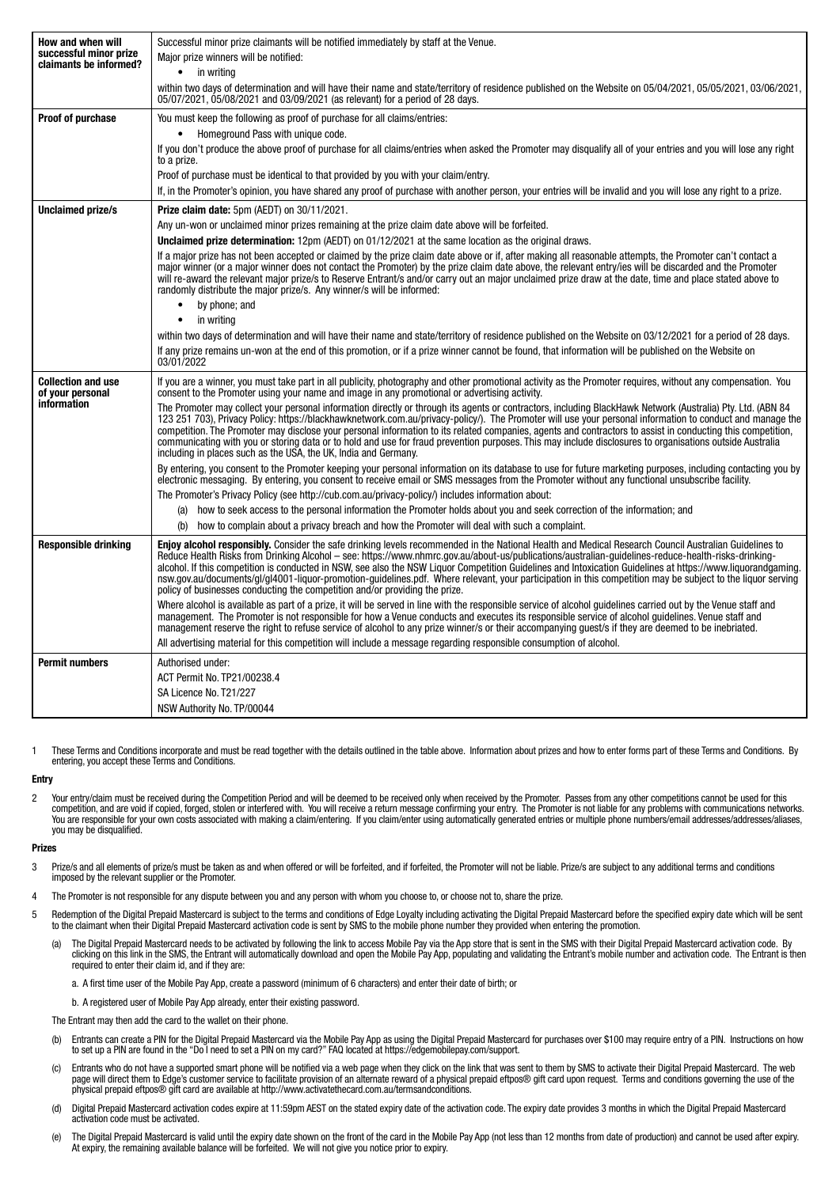| How and when will<br>successful minor prize<br>claimants be informed? | Successful minor prize claimants will be notified immediately by staff at the Venue.<br>Major prize winners will be notified:                                                                                                                                                                                                                                                                                                                                                                                                                                                                                                                                                                                              |
|-----------------------------------------------------------------------|----------------------------------------------------------------------------------------------------------------------------------------------------------------------------------------------------------------------------------------------------------------------------------------------------------------------------------------------------------------------------------------------------------------------------------------------------------------------------------------------------------------------------------------------------------------------------------------------------------------------------------------------------------------------------------------------------------------------------|
|                                                                       | $\bullet$ in writing<br>within two days of determination and will have their name and state/territory of residence published on the Website on 05/04/2021, 05/05/2021, 03/06/2021,<br>05/07/2021, 05/08/2021 and 03/09/2021 (as relevant) for a period of 28 days.                                                                                                                                                                                                                                                                                                                                                                                                                                                         |
| <b>Proof of purchase</b>                                              | You must keep the following as proof of purchase for all claims/entries:                                                                                                                                                                                                                                                                                                                                                                                                                                                                                                                                                                                                                                                   |
|                                                                       | Homeground Pass with unique code.<br>$\bullet$                                                                                                                                                                                                                                                                                                                                                                                                                                                                                                                                                                                                                                                                             |
|                                                                       | If you don't produce the above proof of purchase for all claims/entries when asked the Promoter may disqualify all of your entries and you will lose any right<br>to a prize.                                                                                                                                                                                                                                                                                                                                                                                                                                                                                                                                              |
|                                                                       | Proof of purchase must be identical to that provided by you with your claim/entry.                                                                                                                                                                                                                                                                                                                                                                                                                                                                                                                                                                                                                                         |
|                                                                       | If, in the Promoter's opinion, you have shared any proof of purchase with another person, your entries will be invalid and you will lose any right to a prize.                                                                                                                                                                                                                                                                                                                                                                                                                                                                                                                                                             |
| <b>Unclaimed prize/s</b>                                              | Prize claim date: 5pm (AEDT) on 30/11/2021.                                                                                                                                                                                                                                                                                                                                                                                                                                                                                                                                                                                                                                                                                |
|                                                                       | Any un-won or unclaimed minor prizes remaining at the prize claim date above will be forfeited.                                                                                                                                                                                                                                                                                                                                                                                                                                                                                                                                                                                                                            |
|                                                                       | <b>Unclaimed prize determination:</b> 12pm (AEDT) on 01/12/2021 at the same location as the original draws.                                                                                                                                                                                                                                                                                                                                                                                                                                                                                                                                                                                                                |
|                                                                       | If a major prize has not been accepted or claimed by the prize claim date above or if, after making all reasonable attempts, the Promoter can't contact a<br>major winner (or a major winner does not contact the Promoter) by the prize claim date above, the relevant entry/ies will be discarded and the Promoter<br>will re-award the relevant major prize/s to Reserve Entrant/s and/or carry out an major unclaimed prize draw at the date, time and place stated above to<br>randomly distribute the major prize/s. Any winner/s will be informed:                                                                                                                                                                  |
|                                                                       | by phone; and<br>$\bullet$                                                                                                                                                                                                                                                                                                                                                                                                                                                                                                                                                                                                                                                                                                 |
|                                                                       | in writing<br>$\bullet$                                                                                                                                                                                                                                                                                                                                                                                                                                                                                                                                                                                                                                                                                                    |
|                                                                       | within two days of determination and will have their name and state/territory of residence published on the Website on 03/12/2021 for a period of 28 days.<br>If any prize remains un-won at the end of this promotion, or if a prize winner cannot be found, that information will be published on the Website on                                                                                                                                                                                                                                                                                                                                                                                                         |
|                                                                       | 03/01/2022                                                                                                                                                                                                                                                                                                                                                                                                                                                                                                                                                                                                                                                                                                                 |
| <b>Collection and use</b><br>of your personal<br><i>information</i>   | If you are a winner, you must take part in all publicity, photography and other promotional activity as the Promoter requires, without any compensation. You<br>consent to the Promoter using your name and image in any promotional or advertising activity.                                                                                                                                                                                                                                                                                                                                                                                                                                                              |
|                                                                       | The Promoter may collect your personal information directly or through its agents or contractors, including BlackHawk Network (Australia) Pty. Ltd. (ABN 84<br>123 251 703), Privacy Policy: https://blackhawknetwork.com.au/privacy-policy/). The Promoter will use your personal information to conduct and manage the<br>competition. The Promoter may disclose your personal information to its related companies, agents and contractors to assist in conducting this competition,<br>communicating with you or storing data or to hold and use for fraud prevention purposes. This may include disclosures to organisations outside Australia<br>including in places such as the USA, the UK, India and Germany.     |
|                                                                       | By entering, you consent to the Promoter keeping your personal information on its database to use for future marketing purposes, including contacting you by<br>electronic messaging. By entering, you consent to receive email or SMS messages from the Promoter without any functional unsubscribe facility.                                                                                                                                                                                                                                                                                                                                                                                                             |
|                                                                       | The Promoter's Privacy Policy (see http://cub.com.au/privacy-policy/) includes information about:                                                                                                                                                                                                                                                                                                                                                                                                                                                                                                                                                                                                                          |
|                                                                       | how to seek access to the personal information the Promoter holds about you and seek correction of the information; and<br>(a)                                                                                                                                                                                                                                                                                                                                                                                                                                                                                                                                                                                             |
|                                                                       | how to complain about a privacy breach and how the Promoter will deal with such a complaint.<br>(b)                                                                                                                                                                                                                                                                                                                                                                                                                                                                                                                                                                                                                        |
| <b>Responsible drinking</b>                                           | Enjoy alcohol responsibly. Consider the safe drinking levels recommended in the National Health and Medical Research Council Australian Guidelines to<br>Reduce Health Risks from Drinking Alcohol - see: https://www.nhmrc.gov.au/about-us/publications/australian-quidelines-reduce-health-risks-drinking-<br>alcohol. If this competition is conducted in NSW, see also the NSW Liquor Competition Guidelines and Intoxication Guidelines at https://www.liquorandgaming.<br>nsw.gov.au/documents/gl/gl4001-liguor-promotion-guidelines.pdf. Where relevant, your participation in this competition may be subject to the liguor serving<br>policy of businesses conducting the competition and/or providing the prize. |
|                                                                       | Where alcohol is available as part of a prize, it will be served in line with the responsible service of alcohol quidelines carried out by the Venue staff and<br>management. The Promoter is not responsible for how a Venue conducts and executes its responsible service of alcohol quidelines. Venue staff and<br>management reserve the right to refuse service of alcohol to any prize winner/s or their accompanying guest/s if they are deemed to be inebriated.                                                                                                                                                                                                                                                   |
|                                                                       | All advertising material for this competition will include a message regarding responsible consumption of alcohol.                                                                                                                                                                                                                                                                                                                                                                                                                                                                                                                                                                                                         |
| <b>Permit numbers</b>                                                 | Authorised under:                                                                                                                                                                                                                                                                                                                                                                                                                                                                                                                                                                                                                                                                                                          |
|                                                                       | ACT Permit No. TP21/00238.4                                                                                                                                                                                                                                                                                                                                                                                                                                                                                                                                                                                                                                                                                                |
|                                                                       | SA Licence No. T21/227                                                                                                                                                                                                                                                                                                                                                                                                                                                                                                                                                                                                                                                                                                     |
|                                                                       | NSW Authority No. TP/00044                                                                                                                                                                                                                                                                                                                                                                                                                                                                                                                                                                                                                                                                                                 |

1 These Terms and Conditions incorporate and must be read together with the details outlined in the table above. Information about prizes and how to enter forms part of these Terms and Conditions. By entering, you accept these Terms and Conditions.

## Entry

2 Your entry/claim must be received during the Competition Period and will be deemed to be received only when received by the Promoter. Passes from any other competitions cannot be used for this competition, and are void if copied, forged, stolen or interfered with. You will receive a return message confirming your entry. The Promoter is not liable for any problems with communications networks.<br>You are responsible you may be disqualified.

#### Prizes

- 3 Prize/s and all elements of prize/s must be taken as and when offered or will be forfeited, and if forfeited, the Promoter will not be liable. Prize/s are subject to any additional terms and conditions imposed by the relevant supplier or the Promoter.
- The Promoter is not responsible for any dispute between you and any person with whom you choose to, or choose not to, share the prize.
- 5 Redemption of the Digital Prepaid Mastercard is subject to the terms and conditions of Edge Loyalty including activating the Digital Prepaid Mastercard before the specified expiry date which will be sent to the claimant when their Digital Prepaid Mastercard activation code is sent by SMS to the mobile phone number they provided when entering the promotion.
	- a) The Digital Prepaid Mastercard needs to be activated by following the link to access Mobile Pay via the App store that is sent in the SMS with their Digital Prepaid Mastercard activation code. By<br>clicking on this link i required to enter their claim id, and if they are:
		- a. A first time user of the Mobile Pay App, create a password (minimum of 6 characters) and enter their date of birth; or
		- b. A registered user of Mobile Pay App already, enter their existing password.

The Entrant may then add the card to the wallet on their phone.

- (b) Entrants can create a PIN for the Digital Prepaid Mastercard via the Mobile Pay App as using the Digital Prepaid Mastercard for purchases over \$100 may require entry of a PIN. Instructions on how<br>to set up a PIN are fo
- (c) Entrants who do not have a supported smart phone will be notified via a web page when they click on the link that was sent to them by SMS to activate their Digital Prepaid Mastercard. The web page will direct them to Edge's customer service to facilitate provision of an alternate reward of a physical prepaid eftpos® gift card upon request. Terms and conditions governing the use of the<br>physical prepaid eftpos® g
- (d) Digital Prepaid Mastercard activation codes expire at 11:59pm AEST on the stated expiry date of the activation code. The expiry date provides 3 months in which the Digital Prepaid Mastercard activation code must be activated.
- (e) The Digital Prepaid Mastercard is valid until the expiry date shown on the front of the card in the Mobile Pay App (not less than 12 months from date of production) and cannot be used after expiry.<br>At expiry, the remai